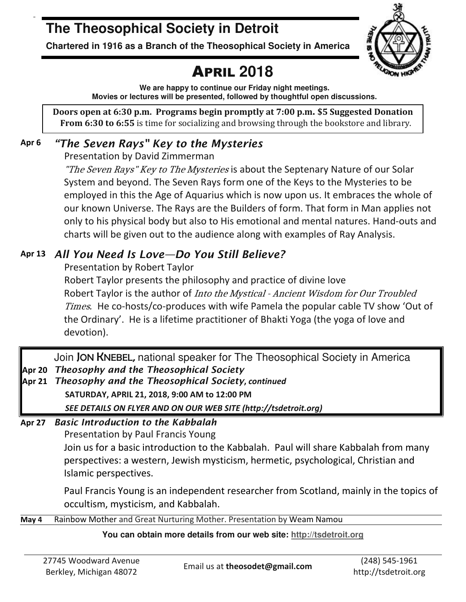# **The Theosophical Society in Detroit**

**Chartered in 1916 as a Branch of the Theosophical Society in America** 

# APRIL **2018**



**We are happy to continue our Friday night meetings. Movies or lectures will be presented, followed by thoughtful open discussions.** 

**Doors open at 6:30 p.m. Programs begin promptly at 7:00 p.m. \$5 Suggested Donation From 6:30 to 6:55** is time for socializing and browsing through the bookstore and library.

## **Apr 6** *"The Seven Rays" Key to the Mysteries*

Presentation by David Zimmerman

"The Seven Rays" Key to The Mysteries is about the Septenary Nature of our Solar System and beyond. The Seven Rays form one of the Keys to the Mysteries to be employed in this the Age of Aquarius which is now upon us. It embraces the whole of our known Universe. The Rays are the Builders of form. That form in Man applies not only to his physical body but also to His emotional and mental natures. Hand-outs and charts will be given out to the audience along with examples of Ray Analysis.

## **Apr 13** *All You Need Is Love—Do You Still Believe?*

Presentation by Robert Taylor

Robert Taylor presents the philosophy and practice of divine love Robert Taylor is the author of Into the Mystical - Ancient Wisdom for Our Troubled Times*.* He co-hosts/co-produces with wife Pamela the popular cable TV show 'Out of the Ordinary'. He is a lifetime practitioner of Bhakti Yoga (the yoga of love and devotion).

Join JON KNEBEL, national speaker for The Theosophical Society in America **Apr 20** *Theosophy and the Theosophical Society*

**Apr 21** *Theosophy and the Theosophical Society***,** *continued*  **SATURDAY, APRIL 21, 2018, 9:00 AM to 12:00 PM**  *SEE DETAILS ON FLYER AND ON OUR WEB SITE (http://tsdetroit.org)*

### **Apr 27** *Basic Introduction to the Kabbalah*

Presentation by Paul Francis Young

Join us for a basic introduction to the Kabbalah. Paul will share Kabbalah from many perspectives: a western, Jewish mysticism, hermetic, psychological, Christian and Islamic perspectives.

Paul Francis Young is an independent researcher from Scotland, mainly in the topics of occultism, mysticism, and Kabbalah.

**May 4** Rainbow Mother and Great Nurturing Mother. Presentation by Weam Namou

**You can obtain more details from our web site: http://tsdetroit.org**